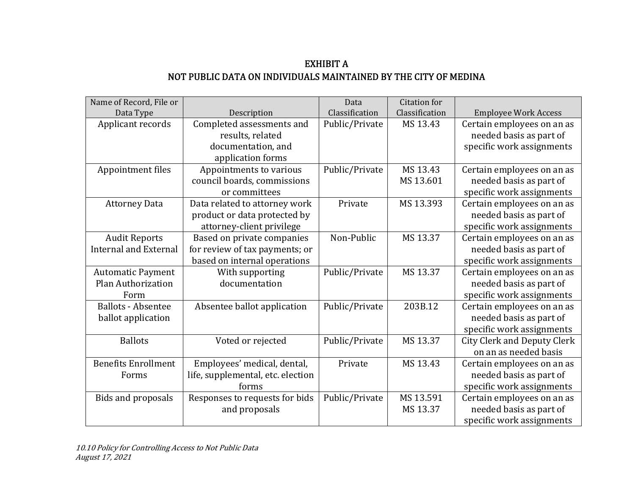## EXHIBIT A NOT PUBLIC DATA ON INDIVIDUALS MAINTAINED BY THE CITY OF MEDINA

| Name of Record, File or      |                                   | Data           | <b>Citation</b> for |                                    |
|------------------------------|-----------------------------------|----------------|---------------------|------------------------------------|
| Data Type                    | Description                       | Classification | Classification      | <b>Employee Work Access</b>        |
| Applicant records            | Completed assessments and         | Public/Private | MS 13.43            | Certain employees on an as         |
|                              | results, related                  |                |                     | needed basis as part of            |
|                              | documentation, and                |                |                     | specific work assignments          |
|                              | application forms                 |                |                     |                                    |
| Appointment files            | Appointments to various           | Public/Private | MS 13.43            | Certain employees on an as         |
|                              | council boards, commissions       |                | MS 13.601           | needed basis as part of            |
|                              | or committees                     |                |                     | specific work assignments          |
| <b>Attorney Data</b>         | Data related to attorney work     | Private        | MS 13.393           | Certain employees on an as         |
|                              | product or data protected by      |                |                     | needed basis as part of            |
|                              | attorney-client privilege         |                |                     | specific work assignments          |
| <b>Audit Reports</b>         | Based on private companies        | Non-Public     | MS 13.37            | Certain employees on an as         |
| <b>Internal and External</b> | for review of tax payments; or    |                |                     | needed basis as part of            |
|                              | based on internal operations      |                |                     | specific work assignments          |
| <b>Automatic Payment</b>     | With supporting                   | Public/Private | MS 13.37            | Certain employees on an as         |
| Plan Authorization           | documentation                     |                |                     | needed basis as part of            |
| Form                         |                                   |                |                     | specific work assignments          |
| <b>Ballots - Absentee</b>    | Absentee ballot application       | Public/Private | 203B.12             | Certain employees on an as         |
| ballot application           |                                   |                |                     | needed basis as part of            |
|                              |                                   |                |                     | specific work assignments          |
| <b>Ballots</b>               | Voted or rejected                 | Public/Private | MS 13.37            | <b>City Clerk and Deputy Clerk</b> |
|                              |                                   |                |                     | on an as needed basis              |
| <b>Benefits Enrollment</b>   | Employees' medical, dental,       | Private        | MS 13.43            | Certain employees on an as         |
| Forms                        | life, supplemental, etc. election |                |                     | needed basis as part of            |
|                              | forms                             |                |                     | specific work assignments          |
| Bids and proposals           | Responses to requests for bids    | Public/Private | MS 13.591           | Certain employees on an as         |
|                              | and proposals                     |                | MS 13.37            | needed basis as part of            |
|                              |                                   |                |                     | specific work assignments          |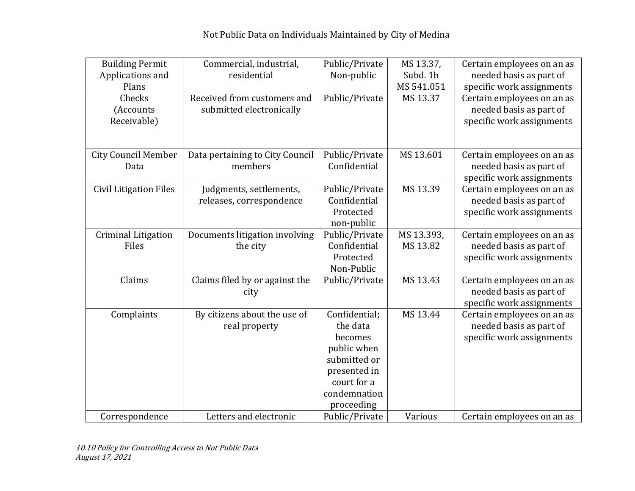| <b>Building Permit</b><br>Applications and<br>Plans | Commercial, industrial,<br>residential                  | Public/Private<br>Non-public                                                                                                     | MS 13.37,<br>Subd. 1b<br>MS 541.051 | Certain employees on an as<br>needed basis as part of<br>specific work assignments |
|-----------------------------------------------------|---------------------------------------------------------|----------------------------------------------------------------------------------------------------------------------------------|-------------------------------------|------------------------------------------------------------------------------------|
| Checks<br>(Accounts<br>Receivable)                  | Received from customers and<br>submitted electronically | Public/Private                                                                                                                   | MS 13.37                            | Certain employees on an as<br>needed basis as part of<br>specific work assignments |
| <b>City Council Member</b><br>Data                  | Data pertaining to City Council<br>members              | Public/Private<br>Confidential                                                                                                   | MS 13.601                           | Certain employees on an as<br>needed basis as part of<br>specific work assignments |
| <b>Civil Litigation Files</b>                       | Judgments, settlements,<br>releases, correspondence     | Public/Private<br>Confidential<br>Protected<br>non-public                                                                        | MS 13.39                            | Certain employees on an as<br>needed basis as part of<br>specific work assignments |
| <b>Criminal Litigation</b><br>Files                 | Documents litigation involving<br>the city              | Public/Private<br>Confidential<br>Protected<br>Non-Public                                                                        | MS 13.393,<br>MS 13.82              | Certain employees on an as<br>needed basis as part of<br>specific work assignments |
| Claims                                              | Claims filed by or against the<br>city                  | Public/Private                                                                                                                   | MS 13.43                            | Certain employees on an as<br>needed basis as part of<br>specific work assignments |
| Complaints                                          | By citizens about the use of<br>real property           | Confidential:<br>the data<br>becomes<br>public when<br>submitted or<br>presented in<br>court for a<br>condemnation<br>proceeding | MS 13.44                            | Certain employees on an as<br>needed basis as part of<br>specific work assignments |
| Correspondence                                      | Letters and electronic                                  | Public/Private                                                                                                                   | Various                             | Certain employees on an as                                                         |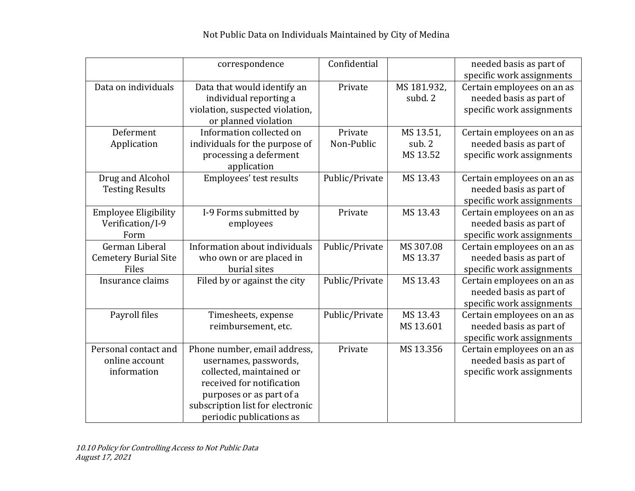|                                                         | correspondence                                                                                                                                                                                             | Confidential          |                                 | needed basis as part of<br>specific work assignments                               |
|---------------------------------------------------------|------------------------------------------------------------------------------------------------------------------------------------------------------------------------------------------------------------|-----------------------|---------------------------------|------------------------------------------------------------------------------------|
| Data on individuals                                     | Data that would identify an<br>individual reporting a<br>violation, suspected violation,<br>or planned violation                                                                                           | Private               | MS 181.932,<br>subd. 2          | Certain employees on an as<br>needed basis as part of<br>specific work assignments |
| Deferment<br>Application                                | Information collected on<br>individuals for the purpose of<br>processing a deferment<br>application                                                                                                        | Private<br>Non-Public | MS 13.51,<br>sub. 2<br>MS 13.52 | Certain employees on an as<br>needed basis as part of<br>specific work assignments |
| Drug and Alcohol<br><b>Testing Results</b>              | Employees' test results                                                                                                                                                                                    | Public/Private        | MS 13.43                        | Certain employees on an as<br>needed basis as part of<br>specific work assignments |
| <b>Employee Eligibility</b><br>Verification/I-9<br>Form | I-9 Forms submitted by<br>employees                                                                                                                                                                        | Private               | MS 13.43                        | Certain employees on an as<br>needed basis as part of<br>specific work assignments |
| German Liberal<br><b>Cemetery Burial Site</b><br>Files  | Information about individuals<br>who own or are placed in<br>burial sites                                                                                                                                  | Public/Private        | MS 307.08<br>MS 13.37           | Certain employees on an as<br>needed basis as part of<br>specific work assignments |
| Insurance claims                                        | Filed by or against the city                                                                                                                                                                               | Public/Private        | MS 13.43                        | Certain employees on an as<br>needed basis as part of<br>specific work assignments |
| Payroll files                                           | Timesheets, expense<br>reimbursement, etc.                                                                                                                                                                 | Public/Private        | MS 13.43<br>MS 13.601           | Certain employees on an as<br>needed basis as part of<br>specific work assignments |
| Personal contact and<br>online account<br>information   | Phone number, email address,<br>usernames, passwords,<br>collected, maintained or<br>received for notification<br>purposes or as part of a<br>subscription list for electronic<br>periodic publications as | Private               | MS 13.356                       | Certain employees on an as<br>needed basis as part of<br>specific work assignments |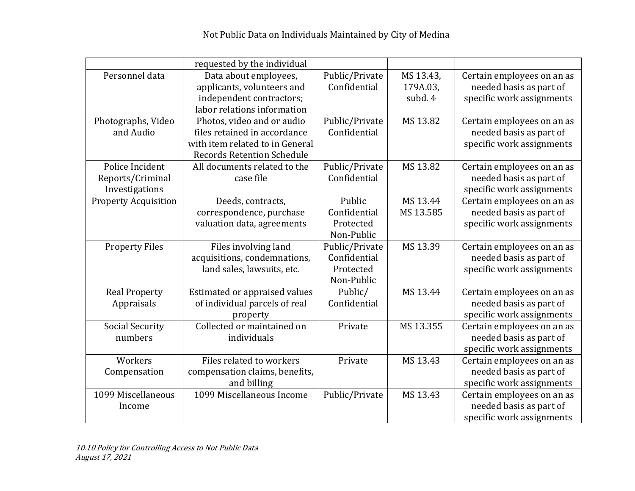|                             | requested by the individual       |                |           |                            |
|-----------------------------|-----------------------------------|----------------|-----------|----------------------------|
| Personnel data              | Data about employees,             | Public/Private | MS 13.43, | Certain employees on an as |
|                             | applicants, volunteers and        | Confidential   | 179A.03,  | needed basis as part of    |
|                             | independent contractors;          |                | subd. 4   | specific work assignments  |
|                             | labor relations information       |                |           |                            |
| Photographs, Video          | Photos, video and or audio        | Public/Private | MS 13.82  | Certain employees on an as |
| and Audio                   | files retained in accordance      | Confidential   |           | needed basis as part of    |
|                             | with item related to in General   |                |           | specific work assignments  |
|                             | <b>Records Retention Schedule</b> |                |           |                            |
| Police Incident             | All documents related to the      | Public/Private | MS 13.82  | Certain employees on an as |
| Reports/Criminal            | case file                         | Confidential   |           | needed basis as part of    |
| Investigations              |                                   |                |           | specific work assignments  |
| <b>Property Acquisition</b> | Deeds, contracts,                 | Public         | MS 13.44  | Certain employees on an as |
|                             | correspondence, purchase          | Confidential   | MS 13.585 | needed basis as part of    |
|                             | valuation data, agreements        | Protected      |           | specific work assignments  |
|                             |                                   | Non-Public     |           |                            |
| <b>Property Files</b>       | Files involving land              | Public/Private | MS 13.39  | Certain employees on an as |
|                             | acquisitions, condemnations,      | Confidential   |           | needed basis as part of    |
|                             | land sales, lawsuits, etc.        | Protected      |           | specific work assignments  |
|                             |                                   | Non-Public     |           |                            |
| <b>Real Property</b>        | Estimated or appraised values     | Public/        | MS 13.44  | Certain employees on an as |
| Appraisals                  | of individual parcels of real     | Confidential   |           | needed basis as part of    |
|                             | property                          |                |           | specific work assignments  |
| <b>Social Security</b>      | Collected or maintained on        | Private        | MS 13.355 | Certain employees on an as |
| numbers                     | individuals                       |                |           | needed basis as part of    |
|                             |                                   |                |           | specific work assignments  |
| Workers                     | Files related to workers          | Private        | MS 13.43  | Certain employees on an as |
| Compensation                | compensation claims, benefits,    |                |           | needed basis as part of    |
|                             | and billing                       |                |           | specific work assignments  |
| 1099 Miscellaneous          | 1099 Miscellaneous Income         | Public/Private | MS 13.43  | Certain employees on an as |
| Income                      |                                   |                |           | needed basis as part of    |
|                             |                                   |                |           | specific work assignments  |